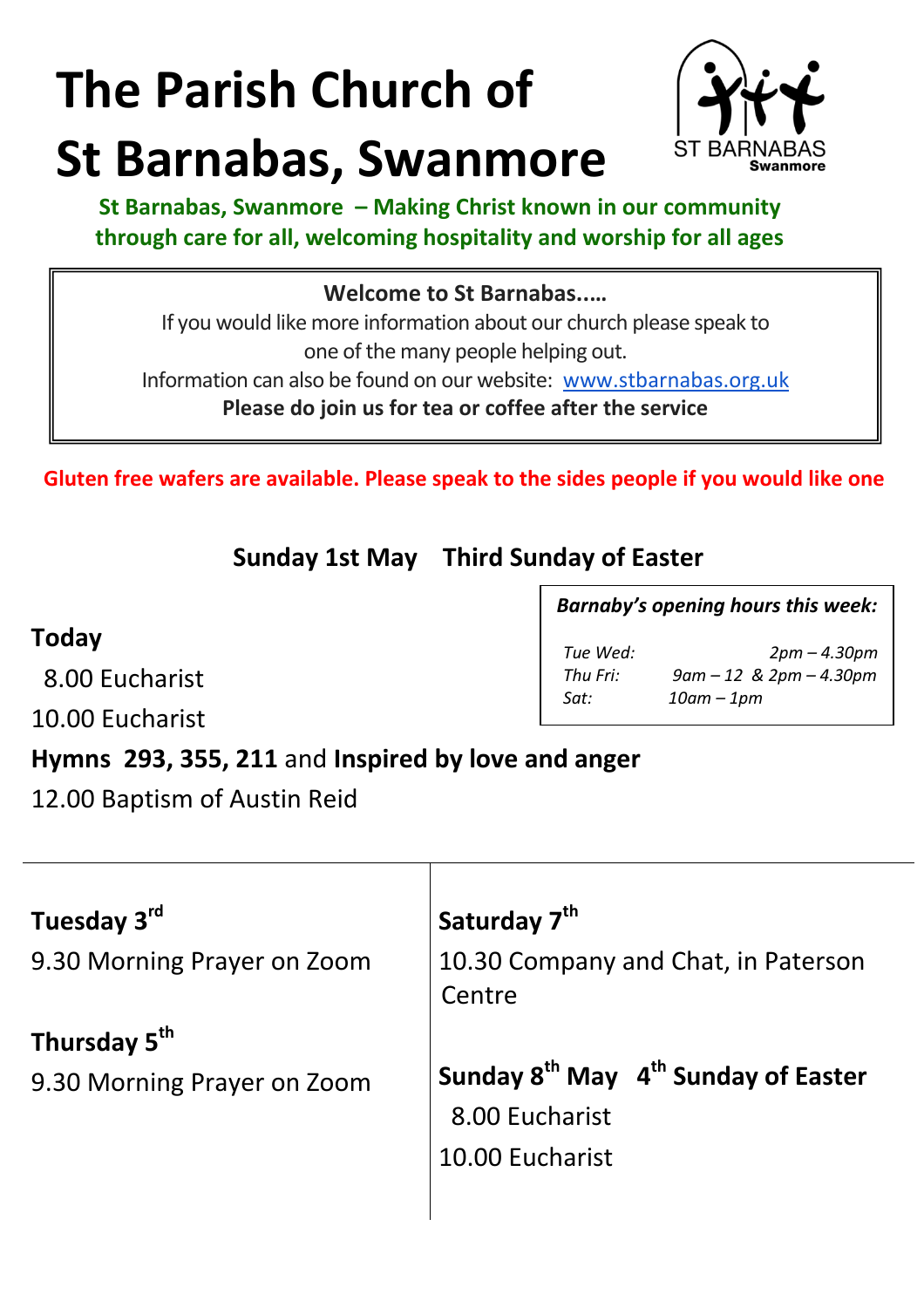# **The Parish Church of St Barnabas, Swanmore**



**St Barnabas, Swanmore – Making Christ known in our community through care for all, welcoming hospitality and worship for all ages**

#### **Welcome to St Barnabas..…**

If you would like more information about our church please speak to one of the many people helping out. Information can also be found on our website: [www.stbarnabas.org.uk](http://www.stbarnabas.org.uk/)

**Please do join us for tea or coffee after the service**

**Gluten free wafers are available. Please speak to the sides people if you would like one**

**Sunday 1st May Third Sunday of Easter**

#### **Today**

8.00 Eucharist

10.00 Eucharist

#### *Barnaby's opening hours this week:*

*Sat: 10am – 1pm*

*Tue Wed: 2pm – 4.30pm Thu Fri: 9am – 12 & 2pm – 4.30pm*

#### **Hymns 293, 355, 211** and **Inspired by love and anger**

12.00 Baptism of Austin Reid

| Tuesday 3rd                                             | Saturday 7 <sup>th</sup>                                                                         |
|---------------------------------------------------------|--------------------------------------------------------------------------------------------------|
| 9.30 Morning Prayer on Zoom                             | 10.30 Company and Chat, in Paterson<br>Centre                                                    |
| Thursday 5 <sup>th</sup><br>9.30 Morning Prayer on Zoom | Sunday 8 <sup>th</sup> May 4 <sup>th</sup> Sunday of Easter<br>8.00 Eucharist<br>10.00 Eucharist |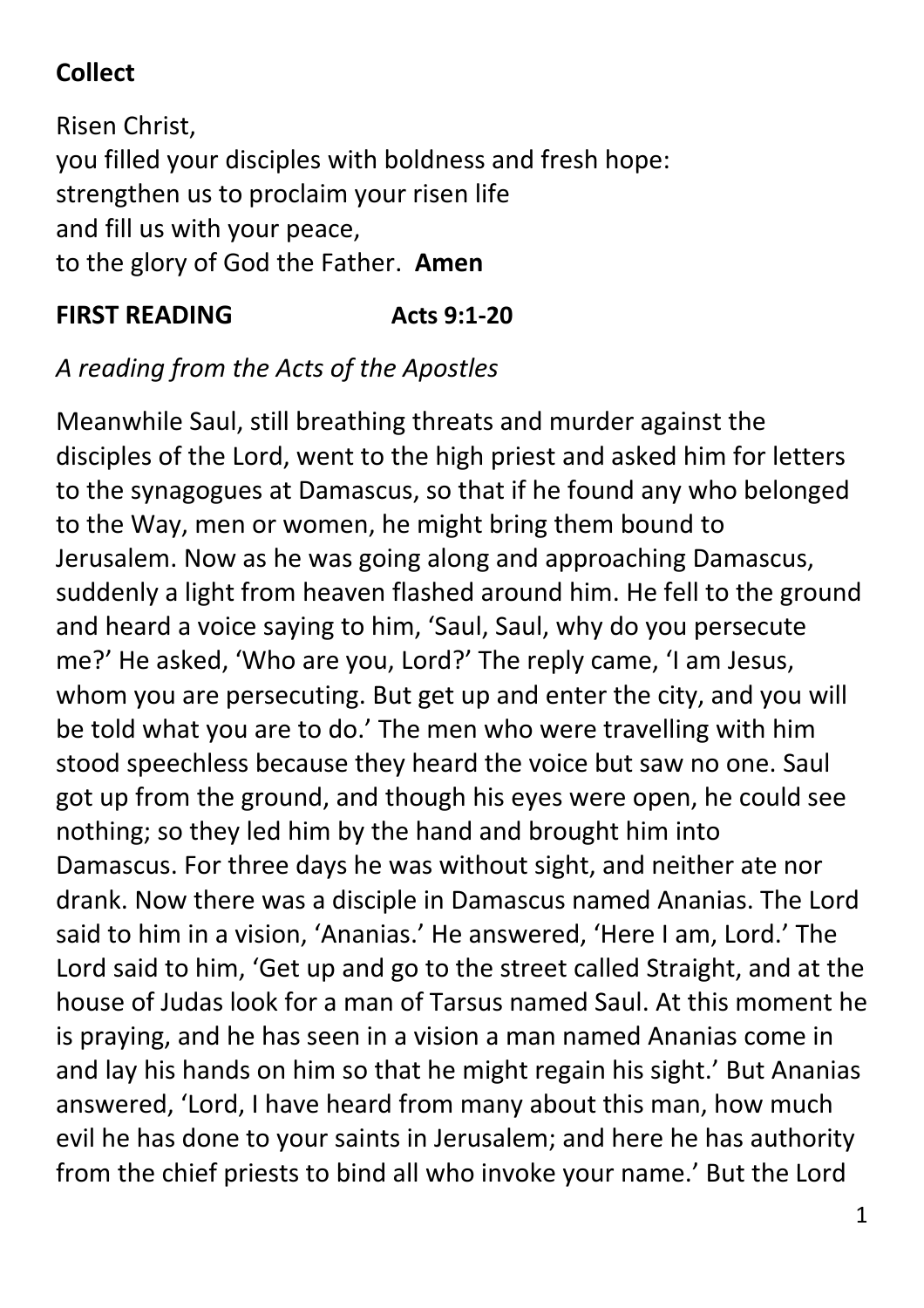#### **Collect**

Risen Christ, you filled your disciples with boldness and fresh hope: strengthen us to proclaim your risen life and fill us with your peace, to the glory of God the Father. **Amen**

#### **FIRST READING Acts 9:1-20**

#### *A reading from the Acts of the Apostles*

Meanwhile Saul, still breathing threats and murder against the disciples of the Lord, went to the high priest and asked him for letters to the synagogues at Damascus, so that if he found any who belonged to the Way, men or women, he might bring them bound to Jerusalem. Now as he was going along and approaching Damascus, suddenly a light from heaven flashed around him. He fell to the ground and heard a voice saying to him, 'Saul, Saul, why do you persecute me?' He asked, 'Who are you, Lord?' The reply came, 'I am Jesus, whom you are persecuting. But get up and enter the city, and you will be told what you are to do.' The men who were travelling with him stood speechless because they heard the voice but saw no one. Saul got up from the ground, and though his eyes were open, he could see nothing; so they led him by the hand and brought him into Damascus. For three days he was without sight, and neither ate nor drank. Now there was a disciple in Damascus named Ananias. The Lord said to him in a vision, 'Ananias.' He answered, 'Here I am, Lord.' The Lord said to him, 'Get up and go to the street called Straight, and at the house of Judas look for a man of Tarsus named Saul. At this moment he is praying, and he has seen in a vision a man named Ananias come in and lay his hands on him so that he might regain his sight.' But Ananias answered, 'Lord, I have heard from many about this man, how much evil he has done to your saints in Jerusalem; and here he has authority from the chief priests to bind all who invoke your name.' But the Lord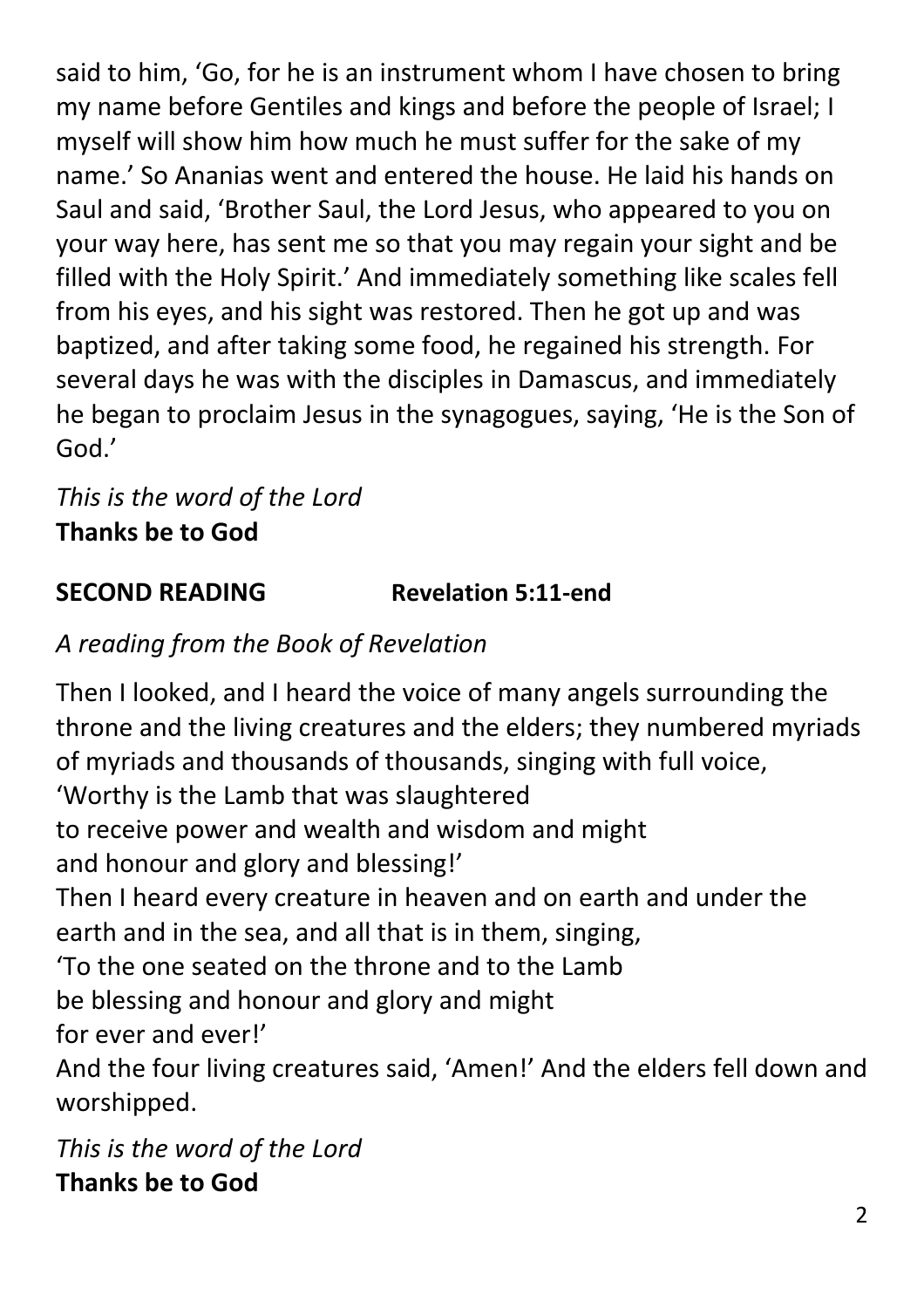said to him, 'Go, for he is an instrument whom I have chosen to bring my name before Gentiles and kings and before the people of Israel; I myself will show him how much he must suffer for the sake of my name.' So Ananias went and entered the house. He laid his hands on Saul and said, 'Brother Saul, the Lord Jesus, who appeared to you on your way here, has sent me so that you may regain your sight and be filled with the Holy Spirit.' And immediately something like scales fell from his eyes, and his sight was restored. Then he got up and was baptized, and after taking some food, he regained his strength. For several days he was with the disciples in Damascus, and immediately he began to proclaim Jesus in the synagogues, saying, 'He is the Son of God.'

*This is the word of the Lord* **Thanks be to God**

#### **SECOND READING Revelation 5:11-end**

#### *A reading from the Book of Revelation*

Then I looked, and I heard the voice of many angels surrounding the throne and the living creatures and the elders; they numbered myriads of myriads and thousands of thousands, singing with full voice, 'Worthy is the Lamb that was slaughtered to receive power and wealth and wisdom and might and honour and glory and blessing!' Then I heard every creature in heaven and on earth and under the earth and in the sea, and all that is in them, singing, 'To the one seated on the throne and to the Lamb be blessing and honour and glory and might for ever and ever!' And the four living creatures said, 'Amen!' And the elders fell down and worshipped.

*This is the word of the Lord* **Thanks be to God**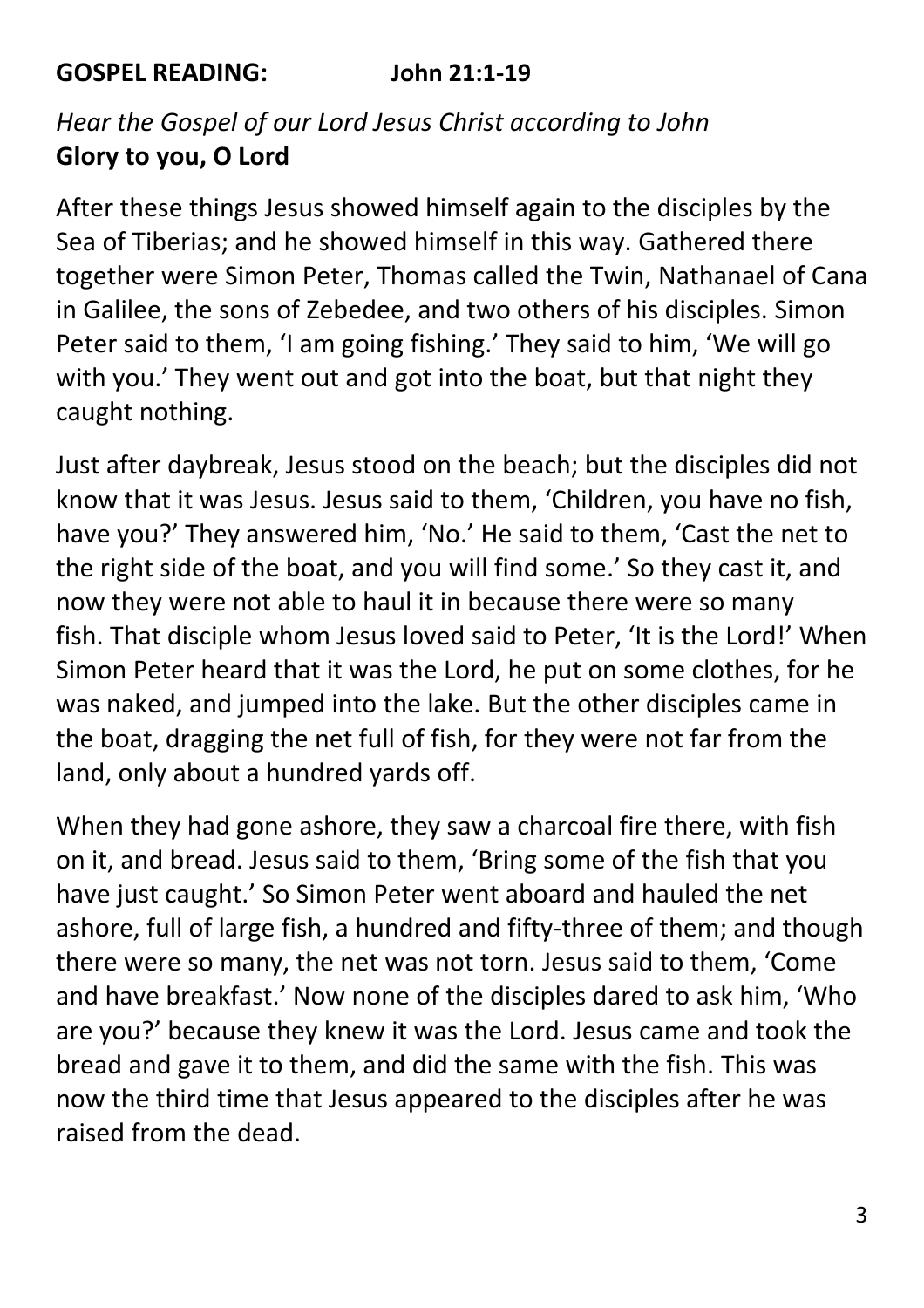#### *Hear the Gospel of our Lord Jesus Christ according to John* **Glory to you, O Lord**

After these things Jesus showed himself again to the disciples by the Sea of Tiberias; and he showed himself in this way. Gathered there together were Simon Peter, Thomas called the Twin, Nathanael of Cana in Galilee, the sons of Zebedee, and two others of his disciples. Simon Peter said to them, 'I am going fishing.' They said to him, 'We will go with you.' They went out and got into the boat, but that night they caught nothing.

Just after daybreak, Jesus stood on the beach; but the disciples did not know that it was Jesus. Jesus said to them, 'Children, you have no fish, have you?' They answered him, 'No.' He said to them, 'Cast the net to the right side of the boat, and you will find some.' So they cast it, and now they were not able to haul it in because there were so many fish. That disciple whom Jesus loved said to Peter, 'It is the Lord!' When Simon Peter heard that it was the Lord, he put on some clothes, for he was naked, and jumped into the lake. But the other disciples came in the boat, dragging the net full of fish, for they were not far from the land, only about a hundred yards off.

When they had gone ashore, they saw a charcoal fire there, with fish on it, and bread. Jesus said to them, 'Bring some of the fish that you have just caught.' So Simon Peter went aboard and hauled the net ashore, full of large fish, a hundred and fifty-three of them; and though there were so many, the net was not torn. Jesus said to them, 'Come and have breakfast.' Now none of the disciples dared to ask him, 'Who are you?' because they knew it was the Lord. Jesus came and took the bread and gave it to them, and did the same with the fish. This was now the third time that Jesus appeared to the disciples after he was raised from the dead.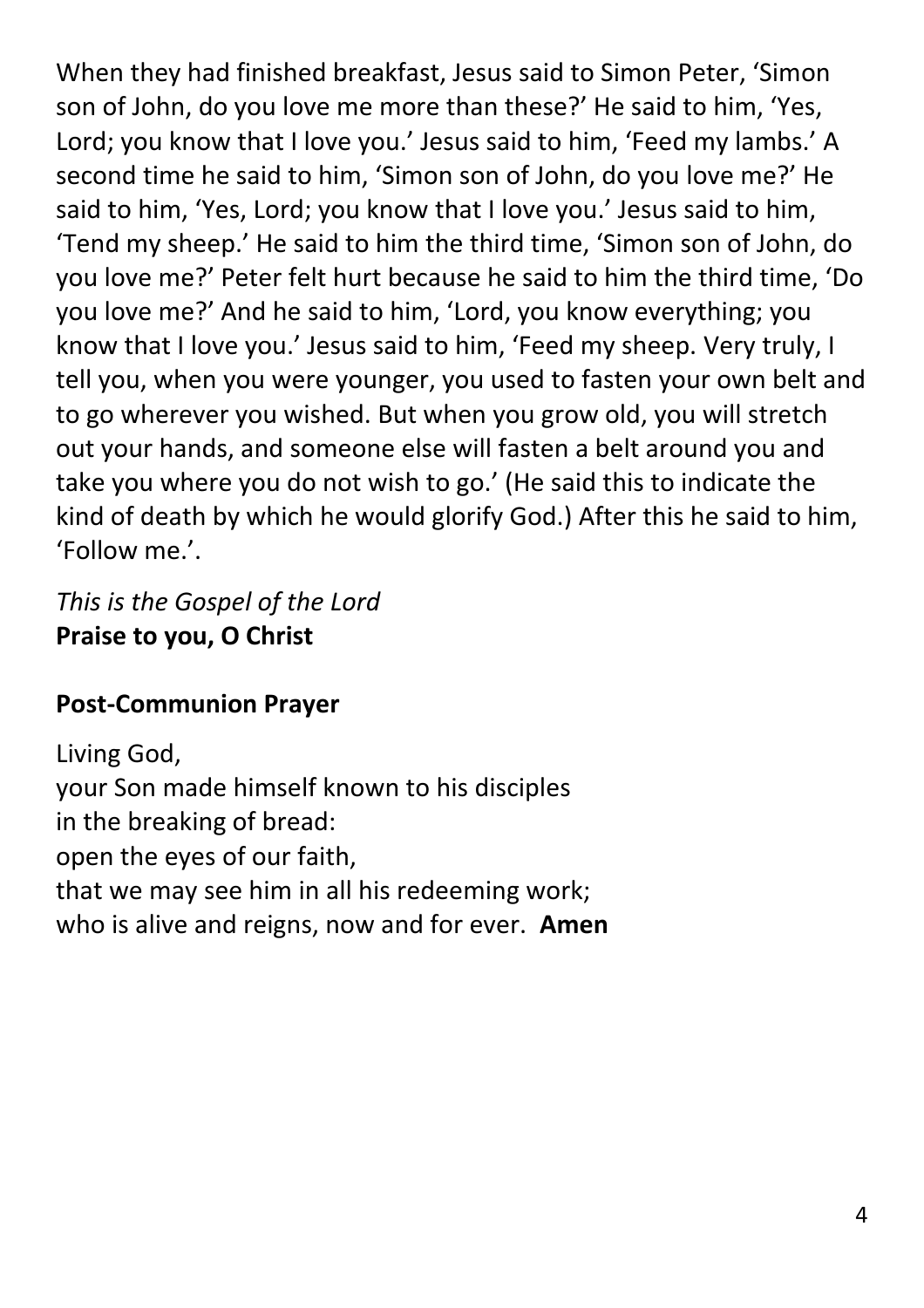When they had finished breakfast, Jesus said to Simon Peter, 'Simon son of John, do you love me more than these?' He said to him, 'Yes, Lord; you know that I love you.' Jesus said to him, 'Feed my lambs.' A second time he said to him, 'Simon son of John, do you love me?' He said to him, 'Yes, Lord; you know that I love you.' Jesus said to him, 'Tend my sheep.' He said to him the third time, 'Simon son of John, do you love me?' Peter felt hurt because he said to him the third time, 'Do you love me?' And he said to him, 'Lord, you know everything; you know that I love you.' Jesus said to him, 'Feed my sheep. Very truly, I tell you, when you were younger, you used to fasten your own belt and to go wherever you wished. But when you grow old, you will stretch out your hands, and someone else will fasten a belt around you and take you where you do not wish to go.' (He said this to indicate the kind of death by which he would glorify God.) After this he said to him, 'Follow me.'.

*This is the Gospel of the Lord* **Praise to you, O Christ**

#### **Post-Communion Prayer**

Living God, your Son made himself known to his disciples in the breaking of bread: open the eyes of our faith, that we may see him in all his redeeming work; who is alive and reigns, now and for ever. **Amen**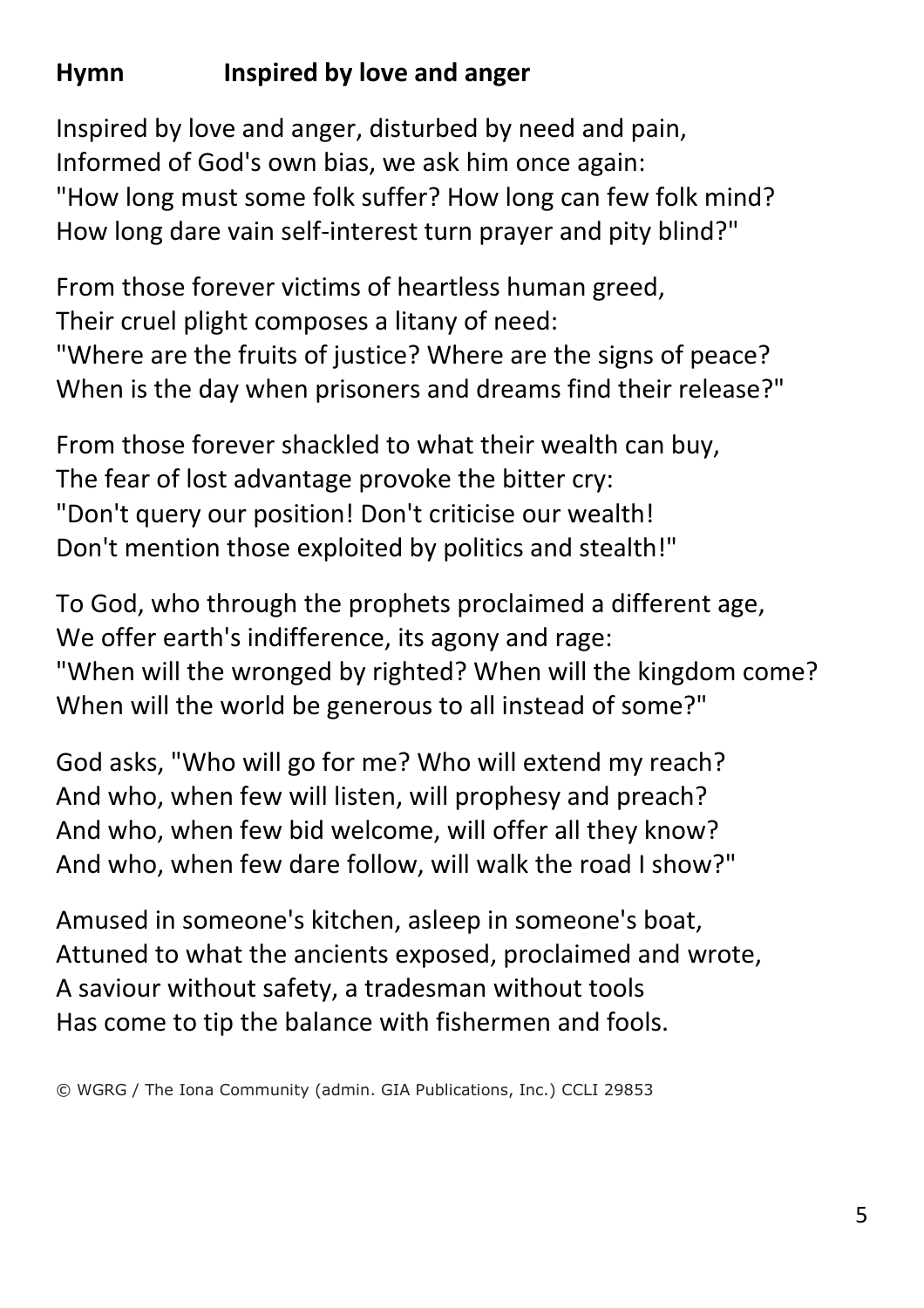#### **Hymn Inspired by love and anger**

Inspired by love and anger, disturbed by need and pain, Informed of God's own bias, we ask him once again: "How long must some folk suffer? How long can few folk mind? How long dare vain self-interest turn prayer and pity blind?"

From those forever victims of heartless human greed, Their cruel plight composes a litany of need: "Where are the fruits of justice? Where are the signs of peace? When is the day when prisoners and dreams find their release?"

From those forever shackled to what their wealth can buy, The fear of lost advantage provoke the bitter cry: "Don't query our position! Don't criticise our wealth! Don't mention those exploited by politics and stealth!"

To God, who through the prophets proclaimed a different age, We offer earth's indifference, its agony and rage: "When will the wronged by righted? When will the kingdom come? When will the world be generous to all instead of some?"

God asks, "Who will go for me? Who will extend my reach? And who, when few will listen, will prophesy and preach? And who, when few bid welcome, will offer all they know? And who, when few dare follow, will walk the road I show?"

Amused in someone's kitchen, asleep in someone's boat, Attuned to what the ancients exposed, proclaimed and wrote, A saviour without safety, a tradesman without tools Has come to tip the balance with fishermen and fools.

© WGRG / The Iona Community (admin. GIA Publications, Inc.) CCLI 29853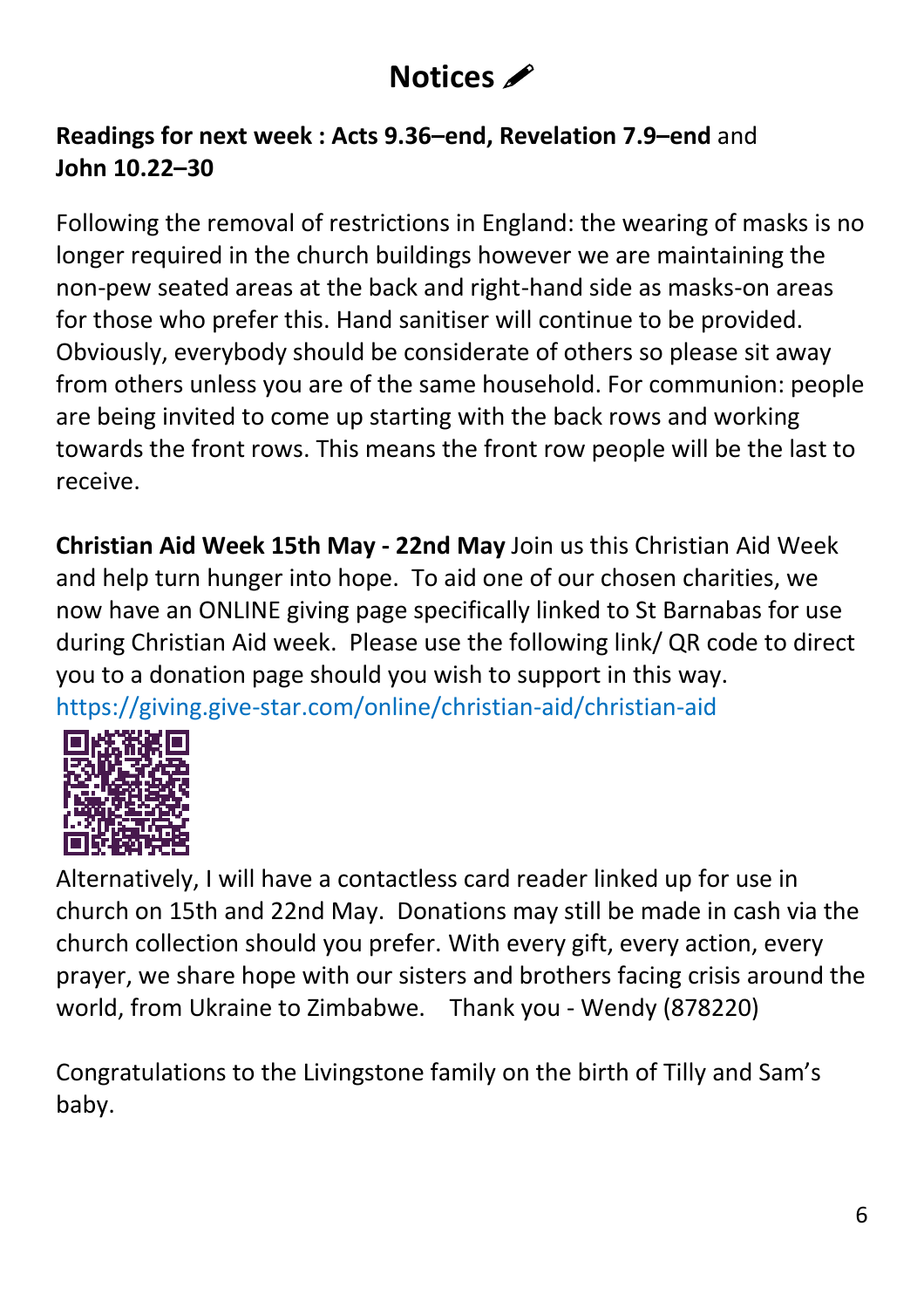## **Notices**

#### **Readings for next week : Acts 9.36–end, Revelation 7.9–end** and **John 10.22–30**

Following the removal of restrictions in England: the wearing of masks is no longer required in the church buildings however we are maintaining the non-pew seated areas at the back and right-hand side as masks-on areas for those who prefer this. Hand sanitiser will continue to be provided. Obviously, everybody should be considerate of others so please sit away from others unless you are of the same household. For communion: people are being invited to come up starting with the back rows and working towards the front rows. This means the front row people will be the last to receive.

**Christian Aid Week 15th May - 22nd May** Join us this Christian Aid Week and help turn hunger into hope. To aid one of our chosen charities, we now have an ONLINE giving page specifically linked to St Barnabas for use during Christian Aid week. Please use the following link/ QR code to direct you to a donation page should you wish to support in this way. <https://giving.give-star.com/online/christian-aid/christian-aid>



Alternatively, I will have a contactless card reader linked up for use in church on 15th and 22nd May. Donations may still be made in cash via the church collection should you prefer. With every gift, every action, every prayer, we share hope with our sisters and brothers facing crisis around the world, from Ukraine to Zimbabwe. Thank you - Wendy (878220)

Congratulations to the Livingstone family on the birth of Tilly and Sam's baby.